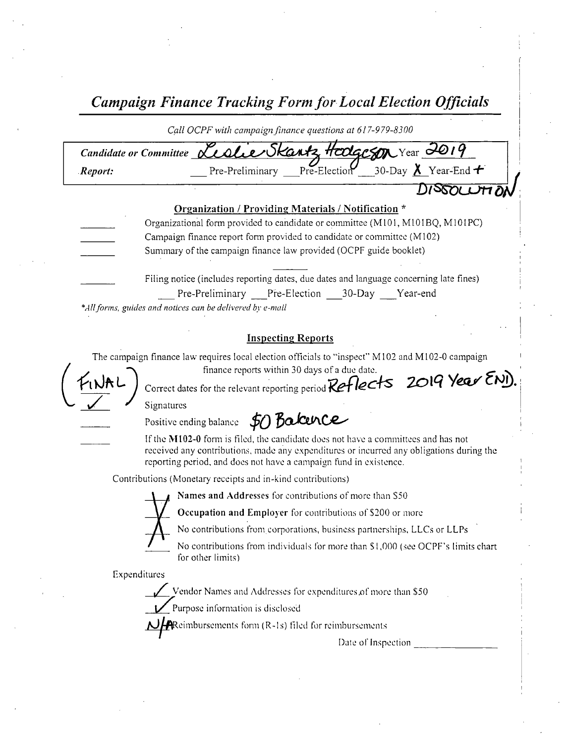Campaign Finance Tracking Form for Local Election Officials

Call OCPF with campaign finance questions at 617-979-8300 Candidate or Committee <u>Leslie Skantz</u> Hodgeson Year 2019 Report: Pre-Preliminary Pre-Election 30-Day **A** Year-End \* 1) ISBN L Organization / Providing Materials/ Notification \* Organizational form provided to candidate or committee (M101, M101BQ, M101PC) Campaign finance report form provided to candidate or committee ( M102) Summary of the campaign finance law provided( OCPF guide booklet) Filing notice ( includes reporting dates, due dates and language concerning late fines)

Pre-Preliminary Pre-Election 30-Day Year-end

\*All forms, guides and notices can be delivered by e-mail

## Inspecting Reports

The campaign finance law requires local election officials to "inspect" M102 and M102-0 campaign

I  $F_{1}NAC$ 

finance reports within 30 days of a due date Correct dates for the relevant reporting period  $Reflects$  2019 Year  $\epsilon$ NI).

Signatures

Positive ending balance  $\, \sharp_O \,$  BalcenCe $\,$ 

If the M102-0 form is filed, the candidate does not have a committees and has not received any contributions, made any expenditures or incurred any obligations during the reporting period, and does not have a campaign fund in existence.

Contributions ( Monetary receipts and in- kind contributions)



Names and Addresses for contributions of more than S50

Occupation and Employer for contributions of \$200 or more

No contributions from corporations, business partnerships, LLCs or LLPs

No contributions from individuals for more than \$1,000 (see OCPF's limits chart for other limits)

Expenditures

Vendor Names and Addresses for expenditures of more than \$50

Purpose information is disclosed

 $\mathbf H$ Reimbursements form (R-1s) filed for reimbursements

Date of Inspection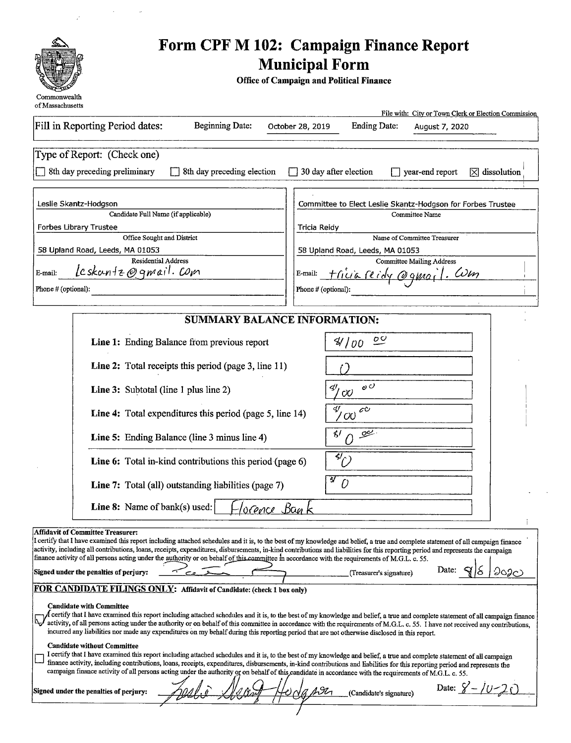

 $\mathcal{L}$ 

 $\bar{\beta}$ 

 $\bar{a}$ 

## Form CPF M 102: Campaign Finance Report Municipal Form

Office of Campaign and Political Finance

| 01 iviassachuselis                                                                                                                                                                                                                                                                                                                             | File with: City or Town Clerk or Election Commission                                                                                                                                                                                                                                                                                                                       |  |  |
|------------------------------------------------------------------------------------------------------------------------------------------------------------------------------------------------------------------------------------------------------------------------------------------------------------------------------------------------|----------------------------------------------------------------------------------------------------------------------------------------------------------------------------------------------------------------------------------------------------------------------------------------------------------------------------------------------------------------------------|--|--|
| Fill in Reporting Period dates:<br>Beginning Date:                                                                                                                                                                                                                                                                                             | <b>Ending Date:</b><br>October 28, 2019<br>August 7, 2020                                                                                                                                                                                                                                                                                                                  |  |  |
| Type of Report: (Check one)                                                                                                                                                                                                                                                                                                                    |                                                                                                                                                                                                                                                                                                                                                                            |  |  |
| 8th day preceding preliminary<br>8th day preceding election                                                                                                                                                                                                                                                                                    | $\Box$ 30 day after election<br>year-end report<br>$[\overline{X}]$ dissolution                                                                                                                                                                                                                                                                                            |  |  |
| Leslie Skantz-Hodgson                                                                                                                                                                                                                                                                                                                          | Committee to Elect Leslie Skantz-Hodgson for Forbes Trustee                                                                                                                                                                                                                                                                                                                |  |  |
| Candidate Full Name (if applicable)<br><b>Forbes Library Trustee</b>                                                                                                                                                                                                                                                                           | Committee Name<br>Tricia Reidy                                                                                                                                                                                                                                                                                                                                             |  |  |
| Office Sought and District                                                                                                                                                                                                                                                                                                                     | Name of Committee Treasurer                                                                                                                                                                                                                                                                                                                                                |  |  |
| 58 Upland Road, Leeds, MA 01053                                                                                                                                                                                                                                                                                                                | 58 Upland Road, Leeds, MA 01053                                                                                                                                                                                                                                                                                                                                            |  |  |
| <b>Residential Address</b>                                                                                                                                                                                                                                                                                                                     | <b>Committee Mailing Address</b>                                                                                                                                                                                                                                                                                                                                           |  |  |
| Leskantz@gmail.com<br>E-mail:                                                                                                                                                                                                                                                                                                                  | <u> Fricia reidy</u> @gmail. Com<br>E-mail:                                                                                                                                                                                                                                                                                                                                |  |  |
| Phone # (optional):                                                                                                                                                                                                                                                                                                                            | Phone # (optional):                                                                                                                                                                                                                                                                                                                                                        |  |  |
|                                                                                                                                                                                                                                                                                                                                                |                                                                                                                                                                                                                                                                                                                                                                            |  |  |
|                                                                                                                                                                                                                                                                                                                                                | <b>SUMMARY BALANCE INFORMATION:</b>                                                                                                                                                                                                                                                                                                                                        |  |  |
| Line 1: Ending Balance from previous report                                                                                                                                                                                                                                                                                                    | $\overline{\mathcal{C}}$<br>Y/00                                                                                                                                                                                                                                                                                                                                           |  |  |
| Line 2: Total receipts this period (page 3, line 11)                                                                                                                                                                                                                                                                                           |                                                                                                                                                                                                                                                                                                                                                                            |  |  |
| <b>Line 3:</b> Subtotal (line 1 plus line 2)                                                                                                                                                                                                                                                                                                   | $\mathfrak{o} \circ$<br>∢ا∕ج<br>O <sub>O</sub>                                                                                                                                                                                                                                                                                                                             |  |  |
| Line 4: Total expenditures this period (page 5, line 14)                                                                                                                                                                                                                                                                                       | ∜<br>$\mathscr{C}^\mathcal{O}$<br>'OQ                                                                                                                                                                                                                                                                                                                                      |  |  |
| Line 5: Ending Balance (line 3 minus line 4)                                                                                                                                                                                                                                                                                                   | ≮/<br>يحيى<br>Ω                                                                                                                                                                                                                                                                                                                                                            |  |  |
| Line 6: Total in-kind contributions this period (page 6)                                                                                                                                                                                                                                                                                       | $\overline{^3}\overline{^2}$                                                                                                                                                                                                                                                                                                                                               |  |  |
| Line 7: Total (all) outstanding liabilities (page 7)                                                                                                                                                                                                                                                                                           | $\overline{F}_U$                                                                                                                                                                                                                                                                                                                                                           |  |  |
| Line 8: Name of bank(s) used:                                                                                                                                                                                                                                                                                                                  | lorence Bank                                                                                                                                                                                                                                                                                                                                                               |  |  |
| <b>Affidavit of Committee Treasurer:</b><br>finance activity of all persons acting under the authority or on behalf of this committee in accordance with the requirements of M.G.L. c. 55.                                                                                                                                                     | I certify that I have examined this report including attached schedules and it is, to the best of my knowledge and belief, a true and complete statement of all campaign finance<br>activity, including all contributions, loans, receipts, expenditures, disbursements, in-kind contributions and liabilities for this reporting period and represents the campaign       |  |  |
| Signed under the penalties of perjury:                                                                                                                                                                                                                                                                                                         | Date:<br>ാംാം<br>(Treasurer's signature)                                                                                                                                                                                                                                                                                                                                   |  |  |
| FOR CANDIDATE FILINGS ONLY: Affidavit of Candidate: (check 1 box only)<br><b>Candidate with Committee</b>                                                                                                                                                                                                                                      | $\Lambda$ certify that I have examined this report including attached schedules and it is, to the best of my knowledge and belief, a true and complete statement of all campaign finance<br>activity, of all persons acting under the authority or on behalf of this committee in accordance with the requirements of M.G.L. c. 55. I have not received any contributions, |  |  |
| incurred any liabilities nor made any expenditures on my behalf during this reporting period that are not otherwise disclosed in this report.<br><b>Candidate without Committee</b><br>campaign finance activity of all persons acting under the authority or on behalf of this candidate in accordance with the requirements of M.G.L. c. 55. | I certify that I have examined this report including attached schedules and it is, to the best of my knowledge and belief, a true and complete statement of all campaign<br>finance activity, including contributions, loans, receipts, expenditures, disbursements, in-kind contributions and liabilities for this reporting period and represents the                    |  |  |
| Signed under the penalties of perjury:                                                                                                                                                                                                                                                                                                         | Date: $\frac{9}{20} - \frac{10}{20}$<br>(Candidate's signature)                                                                                                                                                                                                                                                                                                            |  |  |
|                                                                                                                                                                                                                                                                                                                                                |                                                                                                                                                                                                                                                                                                                                                                            |  |  |